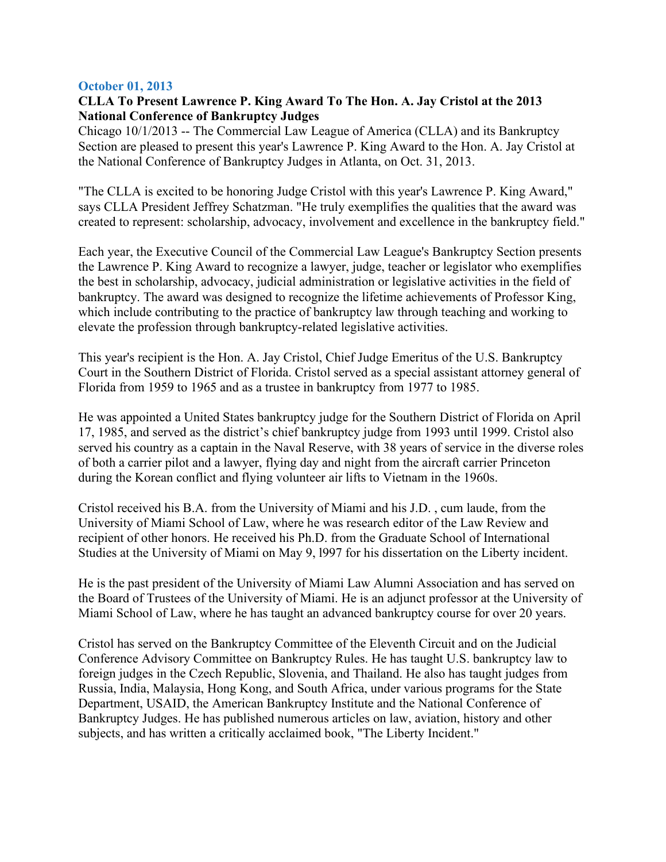## **October 01, 2013**

## **CLLA To Present Lawrence P. King Award To The Hon. A. Jay Cristol at the 2013 National Conference of Bankruptcy Judges**

Chicago 10/1/2013 -- The Commercial Law League of America (CLLA) and its Bankruptcy Section are pleased to present this year's Lawrence P. King Award to the Hon. A. Jay Cristol at the National Conference of Bankruptcy Judges in Atlanta, on Oct. 31, 2013.

"The CLLA is excited to be honoring Judge Cristol with this year's Lawrence P. King Award," says CLLA President Jeffrey Schatzman. "He truly exemplifies the qualities that the award was created to represent: scholarship, advocacy, involvement and excellence in the bankruptcy field."

Each year, the Executive Council of the Commercial Law League's Bankruptcy Section presents the Lawrence P. King Award to recognize a lawyer, judge, teacher or legislator who exemplifies the best in scholarship, advocacy, judicial administration or legislative activities in the field of bankruptcy. The award was designed to recognize the lifetime achievements of Professor King, which include contributing to the practice of bankruptcy law through teaching and working to elevate the profession through bankruptcy-related legislative activities.

This year's recipient is the Hon. A. Jay Cristol, Chief Judge Emeritus of the U.S. Bankruptcy Court in the Southern District of Florida. Cristol served as a special assistant attorney general of Florida from 1959 to 1965 and as a trustee in bankruptcy from 1977 to 1985.

He was appointed a United States bankruptcy judge for the Southern District of Florida on April 17, 1985, and served as the district's chief bankruptcy judge from 1993 until 1999. Cristol also served his country as a captain in the Naval Reserve, with 38 years of service in the diverse roles of both a carrier pilot and a lawyer, flying day and night from the aircraft carrier Princeton during the Korean conflict and flying volunteer air lifts to Vietnam in the 1960s.

Cristol received his B.A. from the University of Miami and his J.D. , cum laude, from the University of Miami School of Law, where he was research editor of the Law Review and recipient of other honors. He received his Ph.D. from the Graduate School of International Studies at the University of Miami on May 9, l997 for his dissertation on the Liberty incident.

He is the past president of the University of Miami Law Alumni Association and has served on the Board of Trustees of the University of Miami. He is an adjunct professor at the University of Miami School of Law, where he has taught an advanced bankruptcy course for over 20 years.

Cristol has served on the Bankruptcy Committee of the Eleventh Circuit and on the Judicial Conference Advisory Committee on Bankruptcy Rules. He has taught U.S. bankruptcy law to foreign judges in the Czech Republic, Slovenia, and Thailand. He also has taught judges from Russia, India, Malaysia, Hong Kong, and South Africa, under various programs for the State Department, USAID, the American Bankruptcy Institute and the National Conference of Bankruptcy Judges. He has published numerous articles on law, aviation, history and other subjects, and has written a critically acclaimed book, "The Liberty Incident."